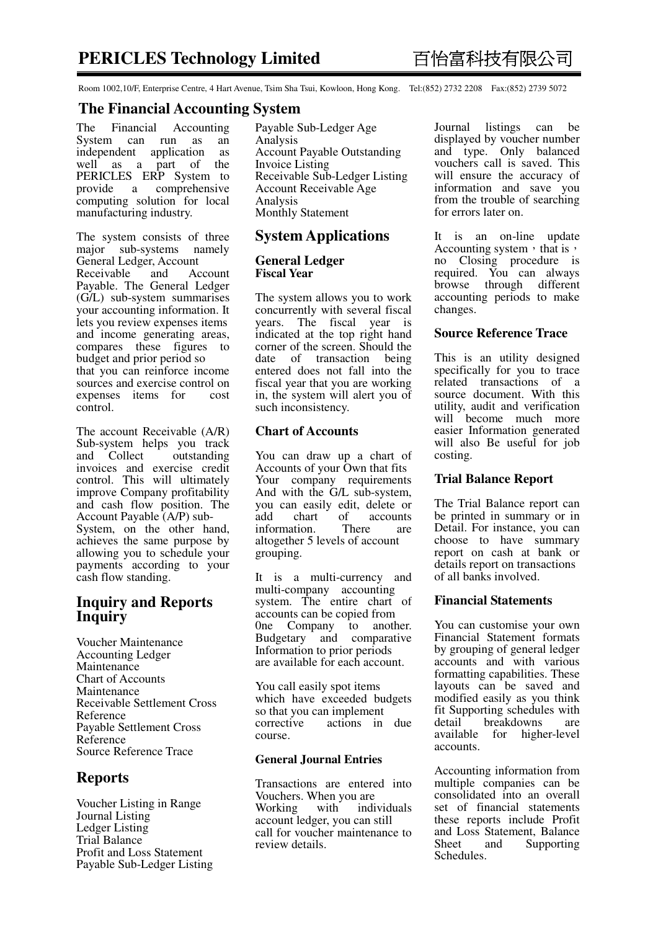Room 1002,10/F, Enterprise Centre, 4 Hart Avenue, Tsim Sha Tsui, Kowloon, Hong Kong. Tel:(852) 2732 2208 Fax:(852) 2739 5072

## **The Financial Accounting System**

The Financial Accounting System can run as an independent application as independent application well as a part of the PERICLES ERP System to<br>provide a comprehensive comprehensive computing solution for local manufacturing industry.

The system consists of three major sub-systems namely General Ledger, Account<br>Receivable and Account Receivable Payable. The General Ledger (G/L) sub-system summarises your accounting information. It lets you review expenses items and income generating areas, compares these figures to budget and prior period so that you can reinforce income sources and exercise control on expenses items for cost control.

The account Receivable (A/R) Sub-system helps you track<br>and Collect outstanding and Collect invoices and exercise credit control. This will ultimately improve Company profitability and cash flow position. The Account Payable (A/P) sub-System, on the other hand, achieves the same purpose by allowing you to schedule your payments according to your cash flow standing.

# **Inquiry and Reports Inquiry**

Voucher Maintenance Accounting Ledger Maintenance Chart of Accounts Maintenance Receivable Settlement Cross Reference Payable Settlement Cross Reference Source Reference Trace

# **Reports**

Voucher Listing in Range Journal Listing Ledger Listing Trial Balance Profit and Loss Statement Payable Sub-Ledger Listing Payable Sub-Ledger Age Analysis Account Payable Outstanding Invoice Listing Receivable Sub-Ledger Listing Account Receivable Age Analysis Monthly Statement

## **System Applications**

#### **General Ledger Fiscal Year**

The system allows you to work concurrently with several fiscal years. The fiscal year is indicated at the top right hand corner of the screen. Should the date of transaction being entered does not fall into the fiscal year that you are working in, the system will alert you of such inconsistency.

#### **Chart of Accounts**

You can draw up a chart of Accounts of your Own that fits Your company requirements And with the G/L sub-system, you can easily edit, delete or add chart of accounts<br>information. There are information. There are altogether 5 levels of account grouping.

It is a multi-currency and multi-company accounting system. The entire chart of accounts can be copied from 0ne Company to another. Budgetary and comparative Information to prior periods are available for each account.

You call easily spot items which have exceeded budgets so that you can implement<br>corrective actions in actions in due course.

#### **General Journal Entries**

Transactions are entered into Vouchers. When you are Working with individuals account ledger, you can still call for voucher maintenance to review details.

Journal listings can be displayed by voucher number and type. Only balanced vouchers call is saved. This will ensure the accuracy of information and save you from the trouble of searching for errors later on.

It is an on-line update Accounting system, that is, no Closing procedure is required. You can always browse through different accounting periods to make changes.

## **Source Reference Trace**

This is an utility designed specifically for you to trace related transactions of a source document. With this utility, audit and verification will become much more easier Information generated will also Be useful for job costing.

## **Trial Balance Report**

The Trial Balance report can be printed in summary or in Detail. For instance, you can choose to have summary report on cash at bank or details report on transactions of all banks involved.

### **Financial Statements**

You can customise your own Financial Statement formats by grouping of general ledger accounts and with various formatting capabilities. These layouts can be saved and modified easily as you think fit Supporting schedules with detail breakdowns are<br>available for higher-level for higher-level accounts.

Accounting information from multiple companies can be consolidated into an overall set of financial statements these reports include Profit and Loss Statement, Balance<br>Sheet and Supporting Supporting Schedules.